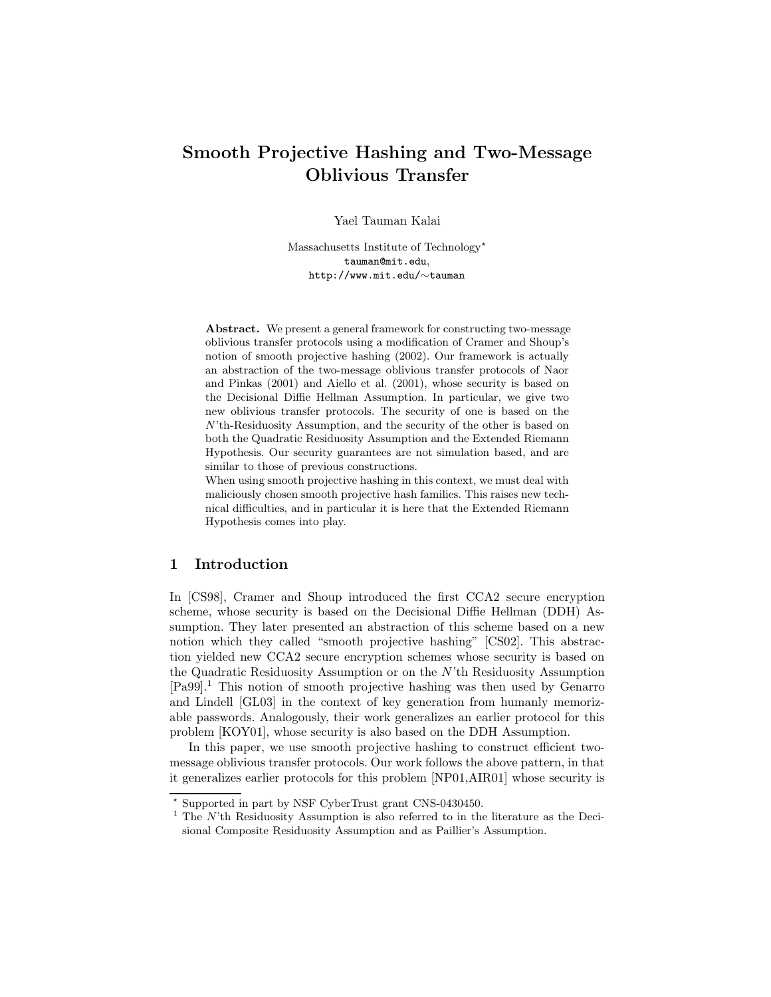# Smooth Projective Hashing and Two-Message Oblivious Transfer

Yael Tauman Kalai

Massachusetts Institute of Technology\* tauman@mit.edu, http://www.mit.edu/∼tauman

Abstract. We present a general framework for constructing two-message oblivious transfer protocols using a modification of Cramer and Shoup's notion of smooth projective hashing (2002). Our framework is actually an abstraction of the two-message oblivious transfer protocols of Naor and Pinkas (2001) and Aiello et al. (2001), whose security is based on the Decisional Diffie Hellman Assumption. In particular, we give two new oblivious transfer protocols. The security of one is based on the N'th-Residuosity Assumption, and the security of the other is based on both the Quadratic Residuosity Assumption and the Extended Riemann Hypothesis. Our security guarantees are not simulation based, and are similar to those of previous constructions.

When using smooth projective hashing in this context, we must deal with maliciously chosen smooth projective hash families. This raises new technical difficulties, and in particular it is here that the Extended Riemann Hypothesis comes into play.

# 1 Introduction

In [CS98], Cramer and Shoup introduced the first CCA2 secure encryption scheme, whose security is based on the Decisional Diffie Hellman (DDH) Assumption. They later presented an abstraction of this scheme based on a new notion which they called "smooth projective hashing" [CS02]. This abstraction yielded new CCA2 secure encryption schemes whose security is based on the Quadratic Residuosity Assumption or on the N'th Residuosity Assumption [Pa99].<sup>1</sup> This notion of smooth projective hashing was then used by Genarro and Lindell [GL03] in the context of key generation from humanly memorizable passwords. Analogously, their work generalizes an earlier protocol for this problem [KOY01], whose security is also based on the DDH Assumption.

In this paper, we use smooth projective hashing to construct efficient twomessage oblivious transfer protocols. Our work follows the above pattern, in that it generalizes earlier protocols for this problem [NP01,AIR01] whose security is

<sup>?</sup> Supported in part by NSF CyberTrust grant CNS-0430450.

 $1$  The  $N$ 'th Residuosity Assumption is also referred to in the literature as the Decisional Composite Residuosity Assumption and as Paillier's Assumption.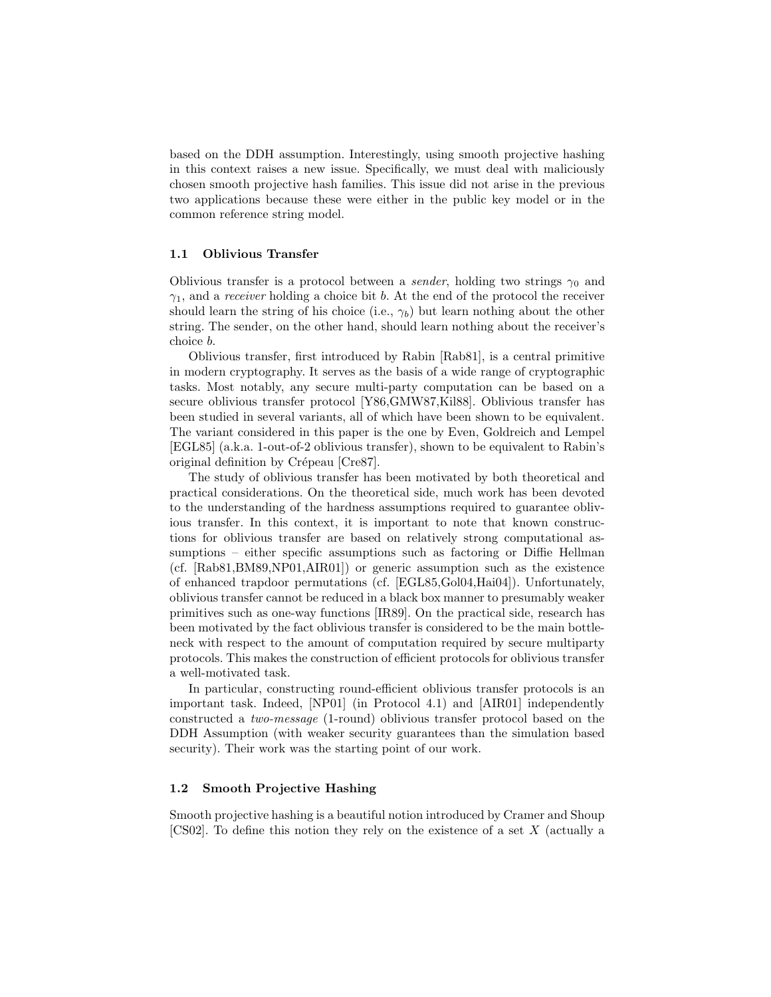based on the DDH assumption. Interestingly, using smooth projective hashing in this context raises a new issue. Specifically, we must deal with maliciously chosen smooth projective hash families. This issue did not arise in the previous two applications because these were either in the public key model or in the common reference string model.

#### 1.1 Oblivious Transfer

Oblivious transfer is a protocol between a *sender*, holding two strings  $\gamma_0$  and  $\gamma_1$ , and a *receiver* holding a choice bit b. At the end of the protocol the receiver should learn the string of his choice (i.e.,  $\gamma_b$ ) but learn nothing about the other string. The sender, on the other hand, should learn nothing about the receiver's choice b.

Oblivious transfer, first introduced by Rabin [Rab81], is a central primitive in modern cryptography. It serves as the basis of a wide range of cryptographic tasks. Most notably, any secure multi-party computation can be based on a secure oblivious transfer protocol [Y86,GMW87,Kil88]. Oblivious transfer has been studied in several variants, all of which have been shown to be equivalent. The variant considered in this paper is the one by Even, Goldreich and Lempel [EGL85] (a.k.a. 1-out-of-2 oblivious transfer), shown to be equivalent to Rabin's original definition by Crépeau [Cre87].

The study of oblivious transfer has been motivated by both theoretical and practical considerations. On the theoretical side, much work has been devoted to the understanding of the hardness assumptions required to guarantee oblivious transfer. In this context, it is important to note that known constructions for oblivious transfer are based on relatively strong computational assumptions – either specific assumptions such as factoring or Diffie Hellman (cf. [Rab81,BM89,NP01,AIR01]) or generic assumption such as the existence of enhanced trapdoor permutations (cf. [EGL85,Gol04,Hai04]). Unfortunately, oblivious transfer cannot be reduced in a black box manner to presumably weaker primitives such as one-way functions [IR89]. On the practical side, research has been motivated by the fact oblivious transfer is considered to be the main bottleneck with respect to the amount of computation required by secure multiparty protocols. This makes the construction of efficient protocols for oblivious transfer a well-motivated task.

In particular, constructing round-efficient oblivious transfer protocols is an important task. Indeed, [NP01] (in Protocol 4.1) and [AIR01] independently constructed a two-message (1-round) oblivious transfer protocol based on the DDH Assumption (with weaker security guarantees than the simulation based security). Their work was the starting point of our work.

### 1.2 Smooth Projective Hashing

Smooth projective hashing is a beautiful notion introduced by Cramer and Shoup [CS02]. To define this notion they rely on the existence of a set  $X$  (actually a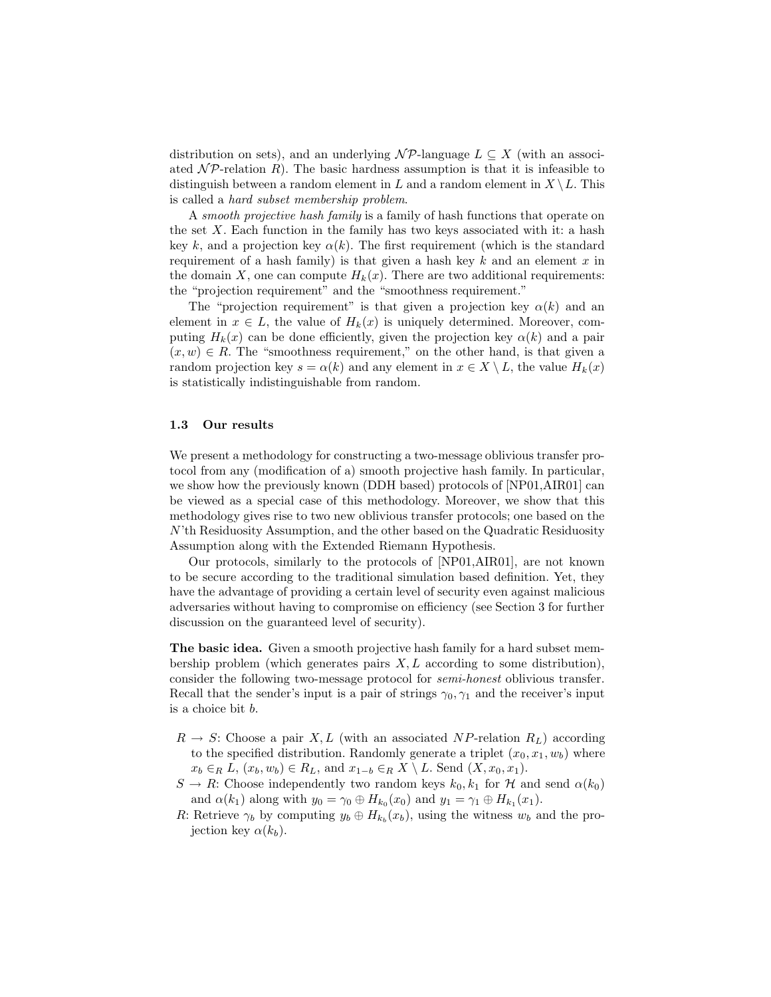distribution on sets), and an underlying  $\mathcal{NP}$ -language  $L \subseteq X$  (with an associated  $\mathcal{NP}$ -relation R). The basic hardness assumption is that it is infeasible to distinguish between a random element in L and a random element in  $X \setminus L$ . This is called a hard subset membership problem.

A smooth projective hash family is a family of hash functions that operate on the set  $X$ . Each function in the family has two keys associated with it: a hash key k, and a projection key  $\alpha(k)$ . The first requirement (which is the standard requirement of a hash family) is that given a hash key  $k$  and an element  $x$  in the domain X, one can compute  $H_k(x)$ . There are two additional requirements: the "projection requirement" and the "smoothness requirement."

The "projection requirement" is that given a projection key  $\alpha(k)$  and an element in  $x \in L$ , the value of  $H_k(x)$  is uniquely determined. Moreover, computing  $H_k(x)$  can be done efficiently, given the projection key  $\alpha(k)$  and a pair  $(x, w) \in R$ . The "smoothness requirement," on the other hand, is that given a random projection key  $s = \alpha(k)$  and any element in  $x \in X \setminus L$ , the value  $H_k(x)$ is statistically indistinguishable from random.

## 1.3 Our results

We present a methodology for constructing a two-message oblivious transfer protocol from any (modification of a) smooth projective hash family. In particular, we show how the previously known (DDH based) protocols of [NP01,AIR01] can be viewed as a special case of this methodology. Moreover, we show that this methodology gives rise to two new oblivious transfer protocols; one based on the N'th Residuosity Assumption, and the other based on the Quadratic Residuosity Assumption along with the Extended Riemann Hypothesis.

Our protocols, similarly to the protocols of [NP01,AIR01], are not known to be secure according to the traditional simulation based definition. Yet, they have the advantage of providing a certain level of security even against malicious adversaries without having to compromise on efficiency (see Section 3 for further discussion on the guaranteed level of security).

The basic idea. Given a smooth projective hash family for a hard subset membership problem (which generates pairs  $X, L$  according to some distribution), consider the following two-message protocol for semi-honest oblivious transfer. Recall that the sender's input is a pair of strings  $\gamma_0, \gamma_1$  and the receiver's input is a choice bit b.

- $R \to S$ : Choose a pair X, L (with an associated NP-relation  $R_L$ ) according to the specified distribution. Randomly generate a triplet  $(x_0, x_1, w_b)$  where  $x_b \in_R L$ ,  $(x_b, w_b) \in R_L$ , and  $x_{1-b} \in_R X \setminus L$ . Send  $(X, x_0, x_1)$ .
- $S \to R$ : Choose independently two random keys  $k_0, k_1$  for H and send  $\alpha(k_0)$ and  $\alpha(k_1)$  along with  $y_0 = \gamma_0 \oplus H_{k_0}(x_0)$  and  $y_1 = \gamma_1 \oplus H_{k_1}(x_1)$ .
- R: Retrieve  $\gamma_b$  by computing  $y_b \oplus H_{k_b}(x_b)$ , using the witness  $w_b$  and the projection key  $\alpha(k_b)$ .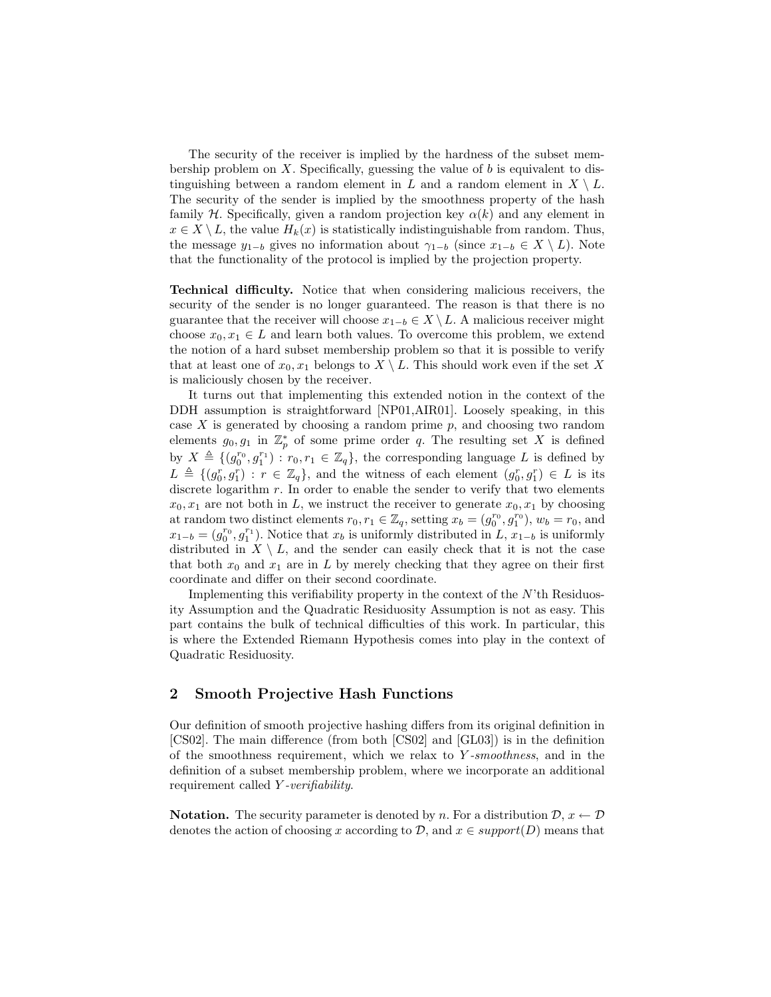The security of the receiver is implied by the hardness of the subset membership problem on  $X$ . Specifically, guessing the value of b is equivalent to distinguishing between a random element in L and a random element in  $X \setminus L$ . The security of the sender is implied by the smoothness property of the hash family  $H$ . Specifically, given a random projection key  $\alpha(k)$  and any element in  $x \in X \setminus L$ , the value  $H_k(x)$  is statistically indistinguishable from random. Thus, the message  $y_{1-b}$  gives no information about  $\gamma_{1-b}$  (since  $x_{1-b} \in X \setminus L$ ). Note that the functionality of the protocol is implied by the projection property.

Technical difficulty. Notice that when considering malicious receivers, the security of the sender is no longer guaranteed. The reason is that there is no guarantee that the receiver will choose  $x_{1-b} \in X \setminus L$ . A malicious receiver might choose  $x_0, x_1 \in L$  and learn both values. To overcome this problem, we extend the notion of a hard subset membership problem so that it is possible to verify that at least one of  $x_0, x_1$  belongs to  $X \setminus L$ . This should work even if the set X is maliciously chosen by the receiver.

It turns out that implementing this extended notion in the context of the DDH assumption is straightforward [NP01,AIR01]. Loosely speaking, in this case  $X$  is generated by choosing a random prime  $p$ , and choosing two random elements  $g_0, g_1$  in  $\mathbb{Z}_p^*$  of some prime order q. The resulting set X is defined by  $X \triangleq \{(g_0^{r_0}, g_1^{r_1}) : r_0, r_1 \in \mathbb{Z}_q\}$ , the corresponding language L is defined by  $L \triangleq \{(g_0^r, g_1^r) : r \in \mathbb{Z}_q\}$ , and the witness of each element  $(g_0^r, g_1^r) \in L$  is its discrete logarithm  $r$ . In order to enable the sender to verify that two elements  $x_0, x_1$  are not both in L, we instruct the receiver to generate  $x_0, x_1$  by choosing at random two distinct elements  $r_0, r_1 \in \mathbb{Z}_q$ , setting  $x_b = (g_0^{r_0}, g_1^{r_0}), w_b = r_0$ , and  $x_{1-b} = (g_0^{r_0}, g_1^{r_1})$ . Notice that  $x_b$  is uniformly distributed in  $L, x_{1-b}$  is uniformly distributed in  $X \setminus L$ , and the sender can easily check that it is not the case that both  $x_0$  and  $x_1$  are in L by merely checking that they agree on their first coordinate and differ on their second coordinate.

Implementing this verifiability property in the context of the  $N$ 'th Residuosity Assumption and the Quadratic Residuosity Assumption is not as easy. This part contains the bulk of technical difficulties of this work. In particular, this is where the Extended Riemann Hypothesis comes into play in the context of Quadratic Residuosity.

# 2 Smooth Projective Hash Functions

Our definition of smooth projective hashing differs from its original definition in [CS02]. The main difference (from both [CS02] and [GL03]) is in the definition of the smoothness requirement, which we relax to Y -smoothness, and in the definition of a subset membership problem, where we incorporate an additional requirement called Y -verifiability.

**Notation.** The security parameter is denoted by n. For a distribution  $\mathcal{D}, x \leftarrow \mathcal{D}$ denotes the action of choosing x according to  $\mathcal{D}$ , and  $x \in support(D)$  means that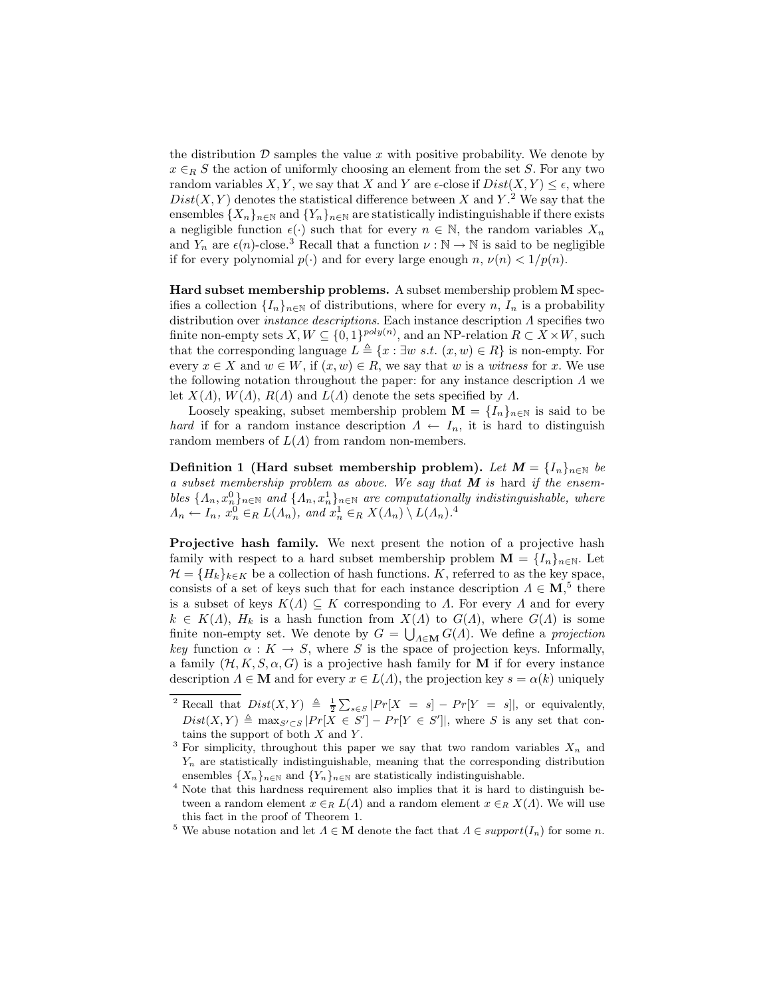the distribution  $\mathcal D$  samples the value x with positive probability. We denote by  $x \in_R S$  the action of uniformly choosing an element from the set S. For any two random variables X, Y, we say that X and Y are  $\epsilon$ -close if  $Dist(X, Y) \leq \epsilon$ , where  $Dist(X, Y)$  denotes the statistical difference between X and Y.<sup>2</sup> We say that the ensembles  $\{X_n\}_{n\in\mathbb{N}}$  and  $\{Y_n\}_{n\in\mathbb{N}}$  are statistically indistinguishable if there exists a negligible function  $\epsilon(\cdot)$  such that for every  $n \in \mathbb{N}$ , the random variables  $X_n$ and  $Y_n$  are  $\epsilon(n)$ -close.<sup>3</sup> Recall that a function  $\nu : \mathbb{N} \to \mathbb{N}$  is said to be negligible if for every polynomial  $p(.)$  and for every large enough n,  $\nu(n) < 1/p(n)$ .

Hard subset membership problems. A subset membership problem M specifies a collection  $\{I_n\}_{n\in\mathbb{N}}$  of distributions, where for every n,  $I_n$  is a probability distribution over instance descriptions. Each instance description Λ specifies two finite non-empty sets  $X, W \subseteq \{0, 1\}^{poly(n)}$ , and an NP-relation  $R \subset X \times W$ , such that the corresponding language  $L \triangleq \{x : \exists w \; s.t. \; (x, w) \in R\}$  is non-empty. For every  $x \in X$  and  $w \in W$ , if  $(x, w) \in R$ , we say that w is a witness for x. We use the following notation throughout the paper: for any instance description  $\Lambda$  we let  $X(\Lambda)$ ,  $W(\Lambda)$ ,  $R(\Lambda)$  and  $L(\Lambda)$  denote the sets specified by  $\Lambda$ .

Loosely speaking, subset membership problem  $\mathbf{M} = \{I_n\}_{n\in\mathbb{N}}$  is said to be hard if for a random instance description  $\Lambda \leftarrow I_n$ , it is hard to distinguish random members of  $L(\Lambda)$  from random non-members.

Definition 1 (Hard subset membership problem). Let  $M = \{I_n\}_{n \in \mathbb{N}}$  be a subset membership problem as above. We say that  $M$  is hard if the ensembles  $\{\Lambda_n, x_n^0\}_{n\in\mathbb{N}}$  and  $\{\Lambda_n, x_n^1\}_{n\in\mathbb{N}}$  are computationally indistinguishable, where  $\Lambda_n \leftarrow I_n, x_n^0 \in_R L(\Lambda_n), \text{ and } x_n^1 \in_R X(\Lambda_n) \setminus L(\Lambda_n).^4$ 

Projective hash family. We next present the notion of a projective hash family with respect to a hard subset membership problem  $\mathbf{M} = \{I_n\}_{n\in\mathbb{N}}$ . Let  $\mathcal{H} = \{H_k\}_{k\in K}$  be a collection of hash functions. K, referred to as the key space, consists of a set of keys such that for each instance description  $\Lambda \in M$ ,<sup>5</sup> there is a subset of keys  $K(\Lambda) \subseteq K$  corresponding to  $\Lambda$ . For every  $\Lambda$  and for every  $k \in K(\Lambda)$ ,  $H_k$  is a hash function from  $X(\Lambda)$  to  $G(\Lambda)$ , where  $G(\Lambda)$  is some finite non-empty set. We denote by  $G = \bigcup_{\Lambda \in \mathbf{M}} G(\Lambda)$ . We define a projection key function  $\alpha: K \to S$ , where S is the space of projection keys. Informally, a family  $(\mathcal{H}, K, S, \alpha, G)$  is a projective hash family for M if for every instance description  $\Lambda \in \mathbf{M}$  and for every  $x \in L(\Lambda)$ , the projection key  $s = \alpha(k)$  uniquely

<sup>&</sup>lt;sup>2</sup> Recall that  $Dist(X, Y) \triangleq \frac{1}{2} \sum_{s \in S} |Pr[X = s] - Pr[Y = s]|$ , or equivalently,  $Dist(X, Y) \triangleq \max_{S' \subset S} |Pr[X \in S'] - Pr[Y \in S']|$ , where S is any set that contains the support of both  $X$  and  $Y$ .

<sup>&</sup>lt;sup>3</sup> For simplicity, throughout this paper we say that two random variables  $X_n$  and  $Y_n$  are statistically indistinguishable, meaning that the corresponding distribution ensembles  $\{X_n\}_{n\in\mathbb{N}}$  and  $\{Y_n\}_{n\in\mathbb{N}}$  are statistically indistinguishable.

<sup>4</sup> Note that this hardness requirement also implies that it is hard to distinguish between a random element  $x \in_R L(\Lambda)$  and a random element  $x \in_R X(\Lambda)$ . We will use this fact in the proof of Theorem 1.

<sup>&</sup>lt;sup>5</sup> We abuse notation and let  $\Lambda \in \mathbf{M}$  denote the fact that  $\Lambda \in support(I_n)$  for some *n*.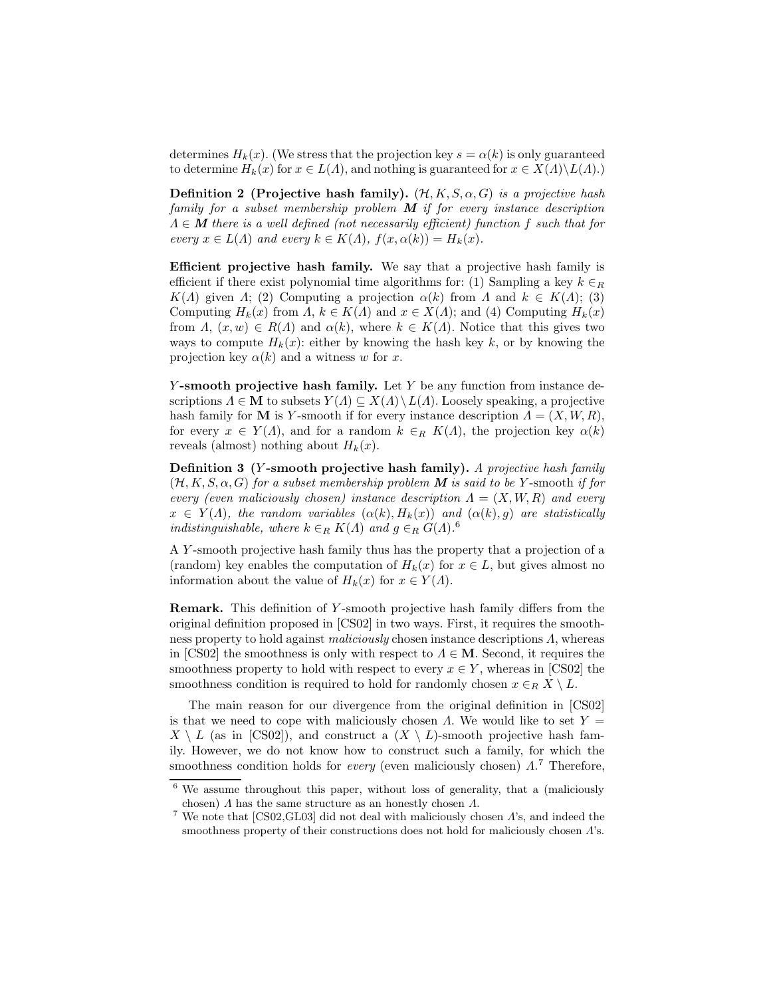determines  $H_k(x)$ . (We stress that the projection key  $s = \alpha(k)$  is only guaranteed to determine  $H_k(x)$  for  $x \in L(\Lambda)$ , and nothing is guaranteed for  $x \in X(\Lambda) \backslash L(\Lambda)$ .)

Definition 2 (Projective hash family).  $(\mathcal{H}, K, S, \alpha, G)$  is a projective hash family for a subset membership problem  $M$  if for every instance description  $\Lambda \in \mathbf{M}$  there is a well defined (not necessarily efficient) function f such that for every  $x \in L(\Lambda)$  and every  $k \in K(\Lambda)$ ,  $f(x, \alpha(k)) = H_k(x)$ .

Efficient projective hash family. We say that a projective hash family is efficient if there exist polynomial time algorithms for: (1) Sampling a key  $k \in R$  $K(\Lambda)$  given  $\Lambda$ ; (2) Computing a projection  $\alpha(k)$  from  $\Lambda$  and  $k \in K(\Lambda)$ ; (3) Computing  $H_k(x)$  from  $\Lambda$ ,  $k \in K(\Lambda)$  and  $x \in X(\Lambda)$ ; and (4) Computing  $H_k(x)$ from  $\Lambda$ ,  $(x, w) \in R(\Lambda)$  and  $\alpha(k)$ , where  $k \in K(\Lambda)$ . Notice that this gives two ways to compute  $H_k(x)$ : either by knowing the hash key k, or by knowing the projection key  $\alpha(k)$  and a witness w for x.

 $Y$ -smooth projective hash family. Let Y be any function from instance descriptions  $\Lambda \in \mathbf{M}$  to subsets  $Y(\Lambda) \subseteq X(\Lambda) \setminus L(\Lambda)$ . Loosely speaking, a projective hash family for **M** is Y-smooth if for every instance description  $\Lambda = (X, W, R)$ , for every  $x \in Y(\Lambda)$ , and for a random  $k \in_R K(\Lambda)$ , the projection key  $\alpha(k)$ reveals (almost) nothing about  $H_k(x)$ .

Definition 3 (Y -smooth projective hash family). A projective hash family  $(H, K, S, \alpha, G)$  for a subset membership problem M is said to be Y-smooth if for every (even maliciously chosen) instance description  $\Lambda = (X, W, R)$  and every  $x \in Y(\Lambda)$ , the random variables  $(\alpha(k), H_k(x))$  and  $(\alpha(k), g)$  are statistically indistinguishable, where  $k \in_R K(\Lambda)$  and  $g \in_R G(\Lambda)$ .<sup>6</sup>

A Y -smooth projective hash family thus has the property that a projection of a (random) key enables the computation of  $H_k(x)$  for  $x \in L$ , but gives almost no information about the value of  $H_k(x)$  for  $x \in Y(\Lambda)$ .

Remark. This definition of Y-smooth projective hash family differs from the original definition proposed in [CS02] in two ways. First, it requires the smoothness property to hold against *maliciously* chosen instance descriptions  $\Lambda$ , whereas in [CS02] the smoothness is only with respect to  $\Lambda \in \mathbf{M}$ . Second, it requires the smoothness property to hold with respect to every  $x \in Y$ , whereas in [CS02] the smoothness condition is required to hold for randomly chosen  $x \in_R X \setminus L$ .

The main reason for our divergence from the original definition in [CS02] is that we need to cope with maliciously chosen  $\Lambda$ . We would like to set  $Y =$  $X \setminus L$  (as in [CS02]), and construct a  $(X \setminus L)$ -smooth projective hash family. However, we do not know how to construct such a family, for which the smoothness condition holds for *every* (even maliciously chosen)  $\Lambda$ <sup>7</sup> Therefore,

 $6$  We assume throughout this paper, without loss of generality, that a (maliciously chosen)  $\Lambda$  has the same structure as an honestly chosen  $\Lambda$ .

<sup>&</sup>lt;sup>7</sup> We note that [CS02,GL03] did not deal with maliciously chosen  $\Lambda$ 's, and indeed the smoothness property of their constructions does not hold for maliciously chosen  $\Lambda$ 's.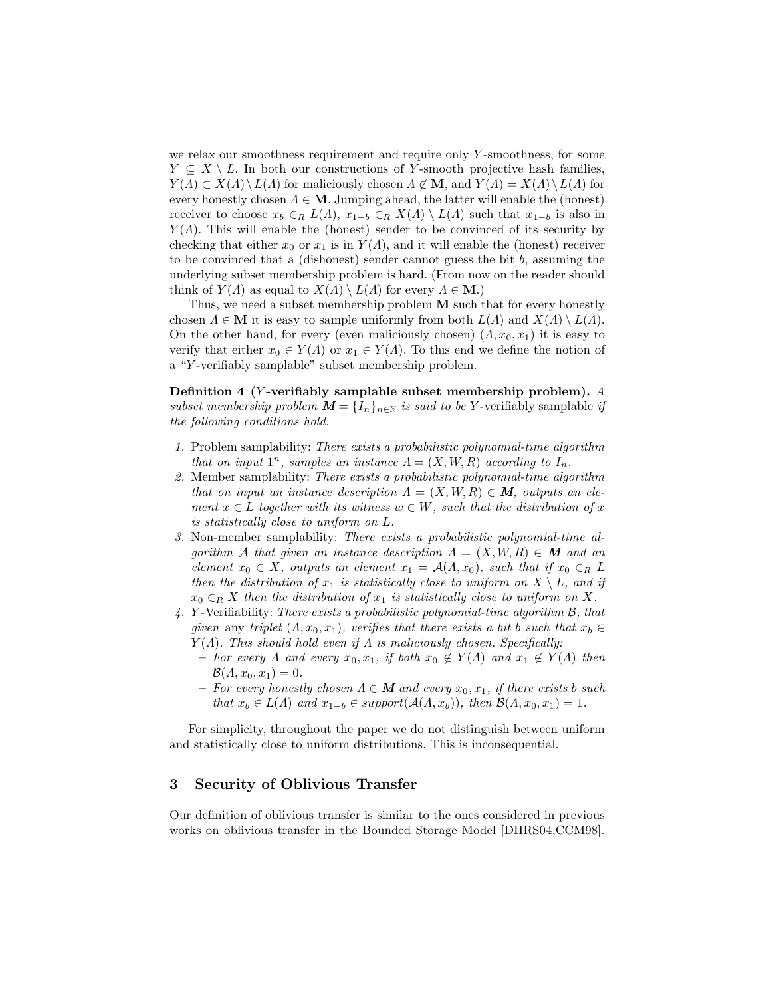we relax our smoothness requirement and require only Y -smoothness, for some  $Y \subseteq X \setminus L$ . In both our constructions of Y-smooth projective hash families,  $Y(A) \subset X(A) \backslash L(A)$  for maliciously chosen  $A \notin \mathbf{M}$ , and  $Y(A) = X(A) \backslash L(A)$  for every honestly chosen  $\Lambda \in \mathbf{M}$ . Jumping ahead, the latter will enable the (honest) receiver to choose  $x_b \in_R L(\Lambda)$ ,  $x_{1-b} \in_R X(\Lambda) \setminus L(\Lambda)$  such that  $x_{1-b}$  is also in  $Y(\Lambda)$ . This will enable the (honest) sender to be convinced of its security by checking that either  $x_0$  or  $x_1$  is in  $Y(\Lambda)$ , and it will enable the (honest) receiver to be convinced that a (dishonest) sender cannot guess the bit  $b$ , assuming the underlying subset membership problem is hard. (From now on the reader should think of  $Y(\Lambda)$  as equal to  $X(\Lambda) \setminus L(\Lambda)$  for every  $\Lambda \in \mathbf{M}$ .)

Thus, we need a subset membership problem  $M$  such that for every honestly chosen  $\Lambda \in \mathbf{M}$  it is easy to sample uniformly from both  $L(\Lambda)$  and  $X(\Lambda) \setminus L(\Lambda)$ . On the other hand, for every (even maliciously chosen)  $(A, x_0, x_1)$  it is easy to verify that either  $x_0 \in Y(\Lambda)$  or  $x_1 \in Y(\Lambda)$ . To this end we define the notion of a "Y -verifiably samplable" subset membership problem.

Definition 4 (Y -verifiably samplable subset membership problem). A subset membership problem  $\mathbf{M} = \{I_n\}_{n \in \mathbb{N}}$  is said to be Y-verifiably samplable if the following conditions hold.

- 1. Problem samplability: There exists a probabilistic polynomial-time algorithm that on input  $1^n$ , samples an instance  $\Lambda = (X, W, R)$  according to  $I_n$ .
- 2. Member samplability: There exists a probabilistic polynomial-time algorithm that on input an instance description  $\Lambda = (X, W, R) \in M$ , outputs an element  $x \in L$  together with its witness  $w \in W$ , such that the distribution of x is statistically close to uniform on L.
- 3. Non-member samplability: There exists a probabilistic polynomial-time algorithm A that given an instance description  $\Lambda = (X, W, R) \in M$  and an element  $x_0 \in X$ , outputs an element  $x_1 = \mathcal{A}(\Lambda, x_0)$ , such that if  $x_0 \in_R L$ then the distribution of  $x_1$  is statistically close to uniform on  $X \setminus L$ , and if  $x_0 \in_R X$  then the distribution of  $x_1$  is statistically close to uniform on X.
- 4. Y -Verifiability: There exists a probabilistic polynomial-time algorithm B, that given any triplet  $(A, x_0, x_1)$ , verifies that there exists a bit b such that  $x_b \in$  $Y(\Lambda)$ . This should hold even if  $\Lambda$  is maliciously chosen. Specifically:
	- For every  $\Lambda$  and every  $x_0, x_1$ , if both  $x_0 \notin Y(\Lambda)$  and  $x_1 \notin Y(\Lambda)$  then  $\mathcal{B}(A, x_0, x_1) = 0.$
	- For every honestly chosen  $\Lambda \in \mathbf{M}$  and every  $x_0, x_1$ , if there exists b such that  $x_b \in L(\Lambda)$  and  $x_{1-b} \in support(\mathcal{A}(\Lambda, x_b))$ , then  $\mathcal{B}(\Lambda, x_0, x_1) = 1$ .

For simplicity, throughout the paper we do not distinguish between uniform and statistically close to uniform distributions. This is inconsequential.

# 3 Security of Oblivious Transfer

Our definition of oblivious transfer is similar to the ones considered in previous works on oblivious transfer in the Bounded Storage Model [DHRS04,CCM98].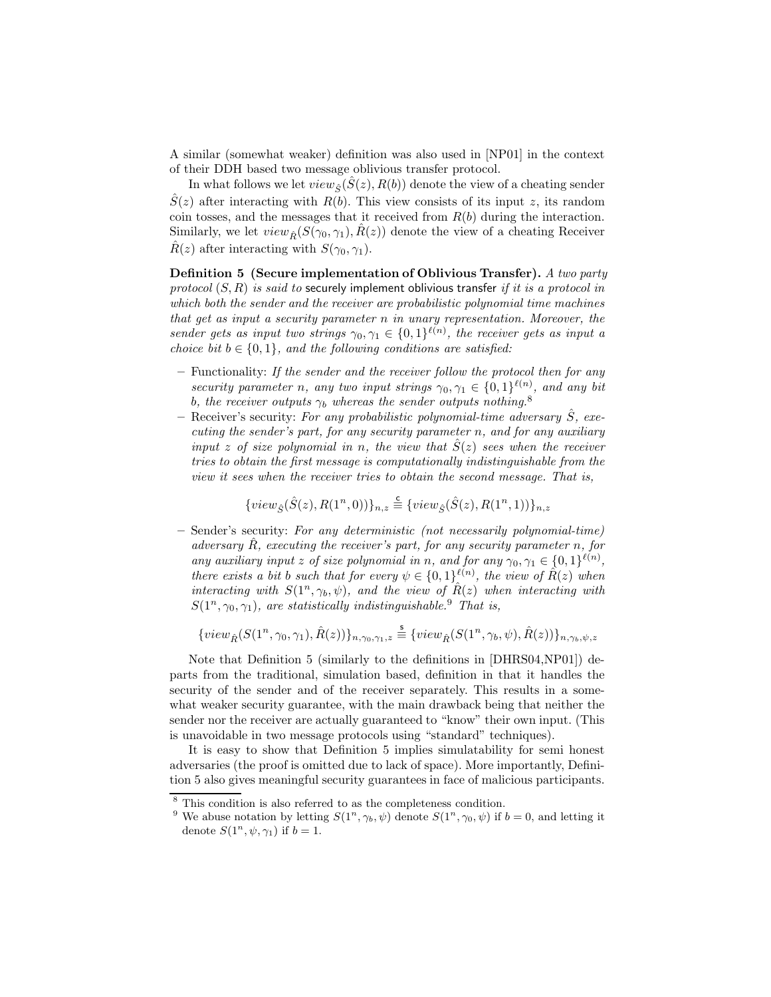A similar (somewhat weaker) definition was also used in [NP01] in the context of their DDH based two message oblivious transfer protocol.

In what follows we let  $view_{\hat{S}}(S(z), R(b))$  denote the view of a cheating sender  $\hat{S}(z)$  after interacting with  $R(b)$ . This view consists of its input z, its random coin tosses, and the messages that it received from  $R(b)$  during the interaction. Similarly, we let  $view_{\hat{B}}(S(\gamma_0, \gamma_1), R(z))$  denote the view of a cheating Receiver  $\hat{R}(z)$  after interacting with  $S(\gamma_0, \gamma_1)$ .

Definition 5 (Secure implementation of Oblivious Transfer). A two party protocol  $(S, R)$  is said to securely implement oblivious transfer if it is a protocol in which both the sender and the receiver are probabilistic polynomial time machines that get as input a security parameter n in unary representation. Moreover, the sender gets as input two strings  $\gamma_0, \gamma_1 \in \{0,1\}^{\ell(n)}$ , the receiver gets as input a choice bit  $b \in \{0, 1\}$ , and the following conditions are satisfied:

- Functionality: If the sender and the receiver follow the protocol then for any security parameter n, any two input strings  $\gamma_0, \gamma_1 \in \{0,1\}^{\ell(n)}$ , and any bit b, the receiver outputs  $\gamma_b$  whereas the sender outputs nothing.<sup>8</sup>
- Receiver's security: For any probabilistic polynomial-time adversary  $\hat{S}$ , executing the sender's part, for any security parameter n, and for any auxiliary input z of size polynomial in n, the view that  $S(z)$  sees when the receiver tries to obtain the first message is computationally indistinguishable from the view it sees when the receiver tries to obtain the second message. That is,

$$
\{view_{\hat{S}}(\hat{S}(z),R(1^n,0))\}_{n,z} \stackrel{\mathsf{c}}{=} \{view_{\hat{S}}(\hat{S}(z),R(1^n,1))\}_{n,z}
$$

– Sender's security: For any deterministic (not necessarily polynomial-time) adversary  $\ddot{R}$ , executing the receiver's part, for any security parameter n, for any auxiliary input z of size polynomial in n, and for any  $\gamma_0, \gamma_1 \in \{0,1\}^{\ell(n)}$ , there exists a bit b such that for every  $\psi \in \{0,1\}^{\ell(n)}$ , the view of  $\hat{R}(z)$  when interacting with  $S(1^n, \gamma_b, \psi)$ , and the view of  $\hat{R}(z)$  when interacting with  $S(1^n, \gamma_0, \gamma_1)$ , are statistically indistinguishable.<sup>9</sup> That is,

$$
\{view_{\hat{R}}(S(1^n, \gamma_0, \gamma_1), \hat{R}(z))\}_{n, \gamma_0, \gamma_1, z} \stackrel{\mathsf{s}}{=} \{view_{\hat{R}}(S(1^n, \gamma_b, \psi), \hat{R}(z))\}_{n, \gamma_b, \psi, z}
$$

Note that Definition 5 (similarly to the definitions in [DHRS04,NP01]) departs from the traditional, simulation based, definition in that it handles the security of the sender and of the receiver separately. This results in a somewhat weaker security guarantee, with the main drawback being that neither the sender nor the receiver are actually guaranteed to "know" their own input. (This is unavoidable in two message protocols using "standard" techniques).

It is easy to show that Definition 5 implies simulatability for semi honest adversaries (the proof is omitted due to lack of space). More importantly, Definition 5 also gives meaningful security guarantees in face of malicious participants.

<sup>8</sup> This condition is also referred to as the completeness condition.

<sup>&</sup>lt;sup>9</sup> We abuse notation by letting  $S(1^n, \gamma_b, \psi)$  denote  $S(1^n, \gamma_0, \psi)$  if  $b = 0$ , and letting it denote  $S(1^n, \psi, \gamma_1)$  if  $b = 1$ .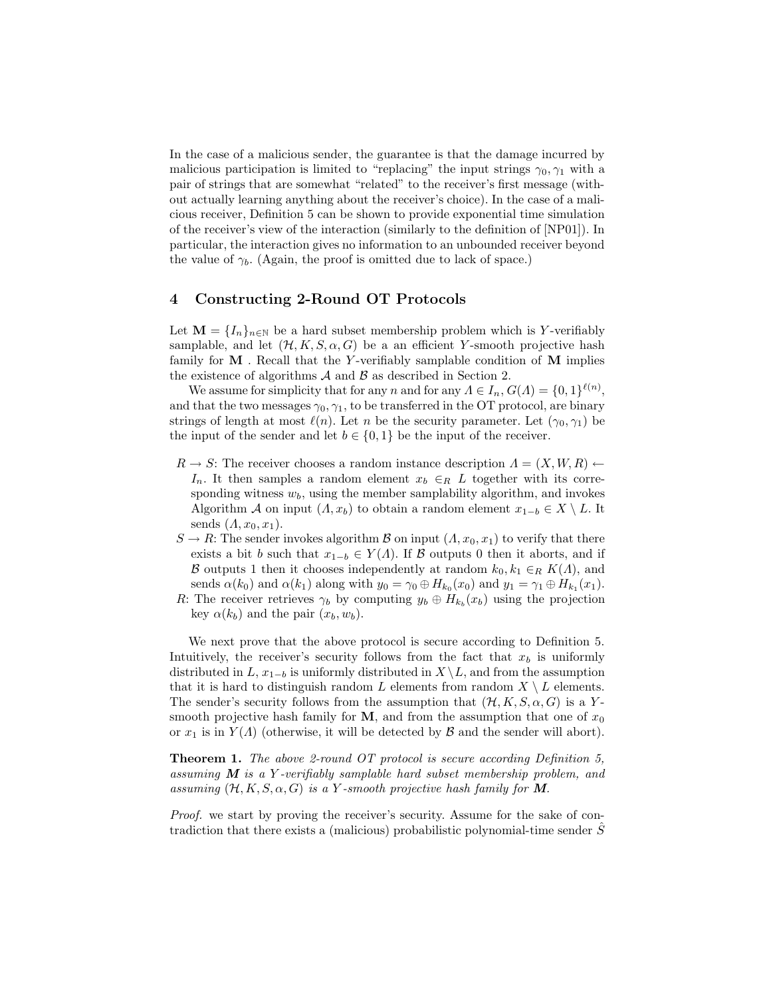In the case of a malicious sender, the guarantee is that the damage incurred by malicious participation is limited to "replacing" the input strings  $\gamma_0, \gamma_1$  with a pair of strings that are somewhat "related" to the receiver's first message (without actually learning anything about the receiver's choice). In the case of a malicious receiver, Definition 5 can be shown to provide exponential time simulation of the receiver's view of the interaction (similarly to the definition of [NP01]). In particular, the interaction gives no information to an unbounded receiver beyond the value of  $\gamma_b$ . (Again, the proof is omitted due to lack of space.)

# 4 Constructing 2-Round OT Protocols

Let  $\mathbf{M} = \{I_n\}_{n\in\mathbb{N}}$  be a hard subset membership problem which is Y-verifiably samplable, and let  $(\mathcal{H}, K, S, \alpha, G)$  be a an efficient Y-smooth projective hash family for  $M$ . Recall that the Y-verifiably samplable condition of  $M$  implies the existence of algorithms  $A$  and  $B$  as described in Section 2.

We assume for simplicity that for any n and for any  $\Lambda \in I_n$ ,  $G(\Lambda) = \{0,1\}^{\ell(n)}$ , and that the two messages  $\gamma_0, \gamma_1$ , to be transferred in the OT protocol, are binary strings of length at most  $\ell(n)$ . Let n be the security parameter. Let  $(\gamma_0, \gamma_1)$  be the input of the sender and let  $b \in \{0, 1\}$  be the input of the receiver.

- $R \to S$ : The receiver chooses a random instance description  $\Lambda = (X, W, R) \leftarrow$  $I_n$ . It then samples a random element  $x_b \in_R L$  together with its corresponding witness  $w<sub>b</sub>$ , using the member samplability algorithm, and invokes Algorithm A on input  $(A, x_b)$  to obtain a random element  $x_{1-b} \in X \setminus L$ . It sends  $(A, x_0, x_1)$ .
- $S \to R$ : The sender invokes algorithm B on input  $(A, x_0, x_1)$  to verify that there exists a bit b such that  $x_{1-b} \in Y(\Lambda)$ . If B outputs 0 then it aborts, and if B outputs 1 then it chooses independently at random  $k_0, k_1 \in_R K(\Lambda)$ , and sends  $\alpha(k_0)$  and  $\alpha(k_1)$  along with  $y_0 = \gamma_0 \oplus H_{k_0}(x_0)$  and  $y_1 = \gamma_1 \oplus H_{k_1}(x_1)$ .
- R: The receiver retrieves  $\gamma_b$  by computing  $y_b \oplus H_{k_b}(x_b)$  using the projection key  $\alpha(k_b)$  and the pair  $(x_b, w_b)$ .

We next prove that the above protocol is secure according to Definition 5. Intuitively, the receiver's security follows from the fact that  $x<sub>b</sub>$  is uniformly distributed in  $L, x_{1-b}$  is uniformly distributed in  $X \setminus L$ , and from the assumption that it is hard to distinguish random L elements from random  $X \setminus L$  elements. The sender's security follows from the assumption that  $(\mathcal{H}, K, S, \alpha, G)$  is a Ysmooth projective hash family for M, and from the assumption that one of  $x_0$ or  $x_1$  is in  $Y(\Lambda)$  (otherwise, it will be detected by  $\mathcal B$  and the sender will abort).

**Theorem 1.** The above 2-round OT protocol is secure according Definition 5, assuming  $M$  is a Y-verifiably samplable hard subset membership problem, and assuming  $(H, K, S, \alpha, G)$  is a Y-smooth projective hash family for M.

Proof. we start by proving the receiver's security. Assume for the sake of contradiction that there exists a (malicious) probabilistic polynomial-time sender  $\tilde{S}$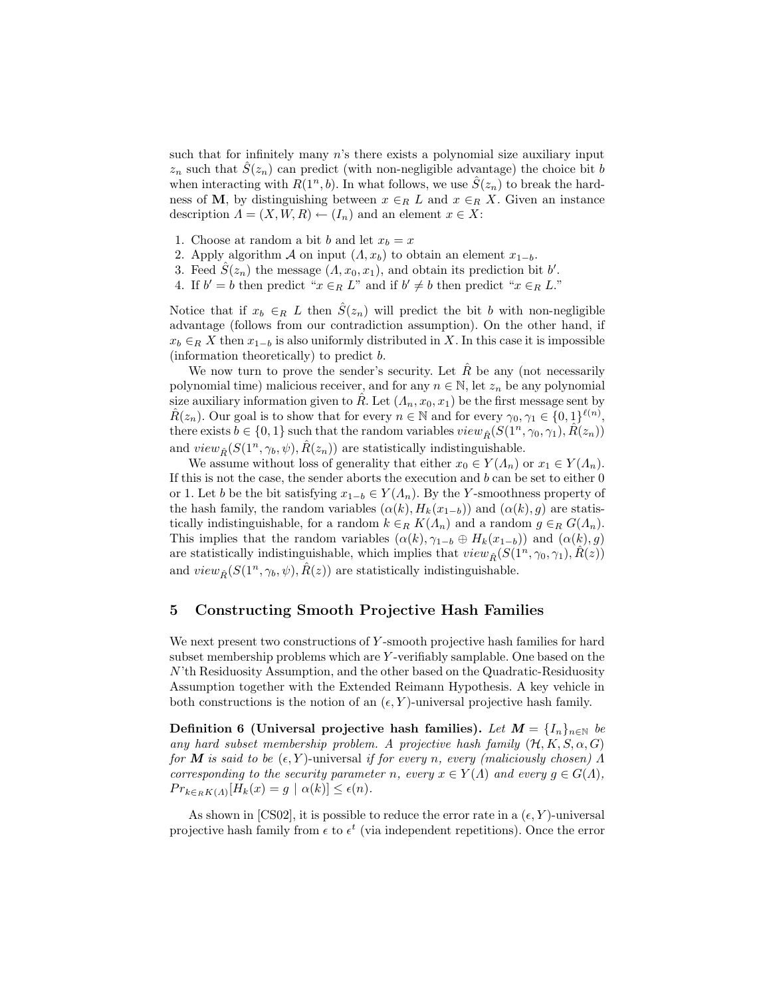such that for infinitely many  $n$ 's there exists a polynomial size auxiliary input  $z_n$  such that  $S(z_n)$  can predict (with non-negligible advantage) the choice bit b when interacting with  $R(1^n, b)$ . In what follows, we use  $\hat{S}(z_n)$  to break the hardness of M, by distinguishing between  $x \in_R L$  and  $x \in_R X$ . Given an instance description  $\Lambda = (X, W, R) \leftarrow (I_n)$  and an element  $x \in X$ :

- 1. Choose at random a bit b and let  $x_b = x$
- 2. Apply algorithm A on input  $(A, x_b)$  to obtain an element  $x_{1-b}$ .
- 3. Feed  $\hat{S}(z_n)$  the message  $(A, x_0, x_1)$ , and obtain its prediction bit b'.
- 4. If  $b' = b$  then predict " $x \in_R L$ " and if  $b' \neq b$  then predict " $x \in_R L$ ."

Notice that if  $x_b \in_R L$  then  $\hat{S}(z_n)$  will predict the bit b with non-negligible advantage (follows from our contradiction assumption). On the other hand, if  $x_b \in_R X$  then  $x_{1-b}$  is also uniformly distributed in X. In this case it is impossible (information theoretically) to predict b.

We now turn to prove the sender's security. Let  $\hat{R}$  be any (not necessarily polynomial time) malicious receiver, and for any  $n \in \mathbb{N}$ , let  $z_n$  be any polynomial size auxiliary information given to  $\tilde{R}$ . Let  $(\Lambda_n, x_0, x_1)$  be the first message sent by  $\hat{R}(z_n)$ . Our goal is to show that for every  $n \in \mathbb{N}$  and for every  $\gamma_0, \gamma_1 \in \{0,1\}^{\ell(n)}$ , there exists  $b \in \{0, 1\}$  such that the random variables  $view_{\hat{B}}(S(1^n, \gamma_0, \gamma_1), R(z_n))$ and  $view_{\hat{R}}(S(1^n, \gamma_b, \psi), \hat{R}(z_n))$  are statistically indistinguishable.

We assume without loss of generality that either  $x_0 \in Y(\Lambda_n)$  or  $x_1 \in Y(\Lambda_n)$ . If this is not the case, the sender aborts the execution and  $b$  can be set to either  $0$ or 1. Let b be the bit satisfying  $x_{1-b} \in Y(\Lambda_n)$ . By the Y-smoothness property of the hash family, the random variables  $(\alpha(k), H_k(x_{1-b}))$  and  $(\alpha(k), g)$  are statistically indistinguishable, for a random  $k \in_R K(\Lambda_n)$  and a random  $g \in_R G(\Lambda_n)$ . This implies that the random variables  $(\alpha(k), \gamma_{1-b} \oplus H_k(x_{1-b}))$  and  $(\alpha(k), g)$ are statistically indistinguishable, which implies that  $view_{\hat{P}}(S(1^n, \gamma_0, \gamma_1), R(z))$ and  $view_{\hat{B}}(S(1^n, \gamma_b, \psi), R(z))$  are statistically indistinguishable.

# 5 Constructing Smooth Projective Hash Families

We next present two constructions of Y-smooth projective hash families for hard subset membership problems which are Y -verifiably samplable. One based on the N'th Residuosity Assumption, and the other based on the Quadratic-Residuosity Assumption together with the Extended Reimann Hypothesis. A key vehicle in both constructions is the notion of an  $(\epsilon, Y)$ -universal projective hash family.

Definition 6 (Universal projective hash families). Let  $M = \{I_n\}_{n \in \mathbb{N}}$  be any hard subset membership problem. A projective hash family  $(\mathcal{H}, K, S, \alpha, G)$ for M is said to be  $(\epsilon, Y)$ -universal if for every n, every (maliciously chosen)  $\Lambda$ corresponding to the security parameter n, every  $x \in Y(\Lambda)$  and every  $g \in G(\Lambda)$ ,  $Pr_{k \in_R K(\Lambda)}[H_k(x) = g \mid \alpha(k)] \leq \epsilon(n).$ 

As shown in [CS02], it is possible to reduce the error rate in a  $(\epsilon, Y)$ -universal projective hash family from  $\epsilon$  to  $\epsilon^t$  (via independent repetitions). Once the error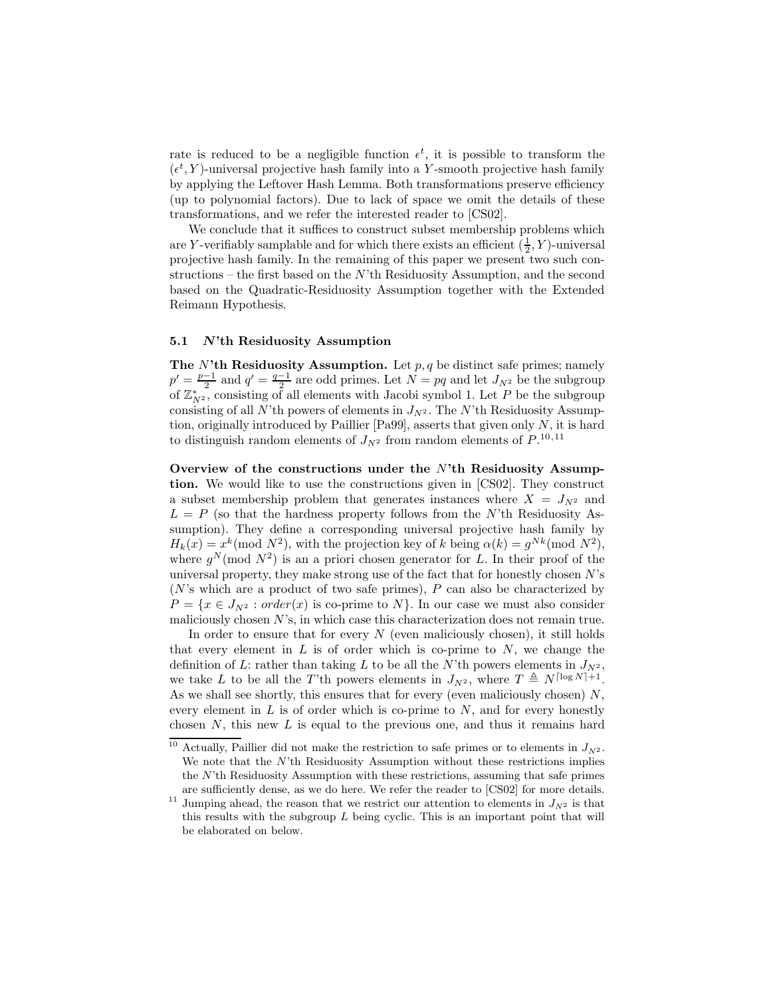rate is reduced to be a negligible function  $\epsilon^t$ , it is possible to transform the  $(\epsilon^t, Y)$ -universal projective hash family into a Y-smooth projective hash family by applying the Leftover Hash Lemma. Both transformations preserve efficiency (up to polynomial factors). Due to lack of space we omit the details of these transformations, and we refer the interested reader to [CS02].

We conclude that it suffices to construct subset membership problems which are Y-verifiably samplable and for which there exists an efficient  $(\frac{1}{2}, Y)$ -universal projective hash family. In the remaining of this paper we present two such constructions – the first based on the  $N$ 'th Residuosity Assumption, and the second based on the Quadratic-Residuosity Assumption together with the Extended Reimann Hypothesis.

#### 5.1 N'th Residuosity Assumption

The N'th Residuosity Assumption. Let  $p, q$  be distinct safe primes; namely  $p' = \frac{p-1}{2}$  and  $q' = \frac{q-1}{2}$  are odd primes. Let  $N = pq$  and let  $J_{N^2}$  be the subgroup of  $\mathbb{Z}_{N^2}^*$ , consisting of all elements with Jacobi symbol 1. Let P be the subgroup consisting of all N'th powers of elements in  $J_{N^2}$ . The N'th Residuosity Assumption, originally introduced by Paillier [Pa99], asserts that given only  $N$ , it is hard to distinguish random elements of  $J_{N^2}$  from random elements of  $P^{10,11}$ .

Overview of the constructions under the  $N'$ th Residuosity Assumption. We would like to use the constructions given in [CS02]. They construct a subset membership problem that generates instances where  $X = J_{N^2}$  and  $L = P$  (so that the hardness property follows from the N'th Residuosity Assumption). They define a corresponding universal projective hash family by  $H_k(x) = x^k \pmod{N^2}$ , with the projection key of k being  $\alpha(k) = g^{Nk} \pmod{N^2}$ , where  $g^N \pmod{N^2}$  is an a priori chosen generator for L. In their proof of the universal property, they make strong use of the fact that for honestly chosen  $N$ 's  $(N's$  which are a product of two safe primes), P can also be characterized by  $P = \{x \in J_{N^2} : order(x) \text{ is co-prime to } N\}.$  In our case we must also consider maliciously chosen  $N$ 's, in which case this characterization does not remain true.

In order to ensure that for every  $N$  (even maliciously chosen), it still holds that every element in  $L$  is of order which is co-prime to  $N$ , we change the definition of L: rather than taking L to be all the N'th powers elements in  $J_{N^2}$ , we take L to be all the T'th powers elements in  $J_{N^2}$ , where  $T \triangleq N^{\lceil \log N \rceil + 1}$ . As we shall see shortly, this ensures that for every (even maliciously chosen)  $N$ , every element in  $L$  is of order which is co-prime to  $N$ , and for every honestly chosen  $N$ , this new  $L$  is equal to the previous one, and thus it remains hard

<sup>&</sup>lt;sup>10</sup> Actually, Paillier did not make the restriction to safe primes or to elements in  $J_{N^2}$ . We note that the  $N$ <sup>th</sup> Residuosity Assumption without these restrictions implies the  $N$ <sup>th</sup> Residuosity Assumption with these restrictions, assuming that safe primes are sufficiently dense, as we do here. We refer the reader to [CS02] for more details.

<sup>&</sup>lt;sup>11</sup> Jumping ahead, the reason that we restrict our attention to elements in  $J_{N^2}$  is that this results with the subgroup  $L$  being cyclic. This is an important point that will be elaborated on below.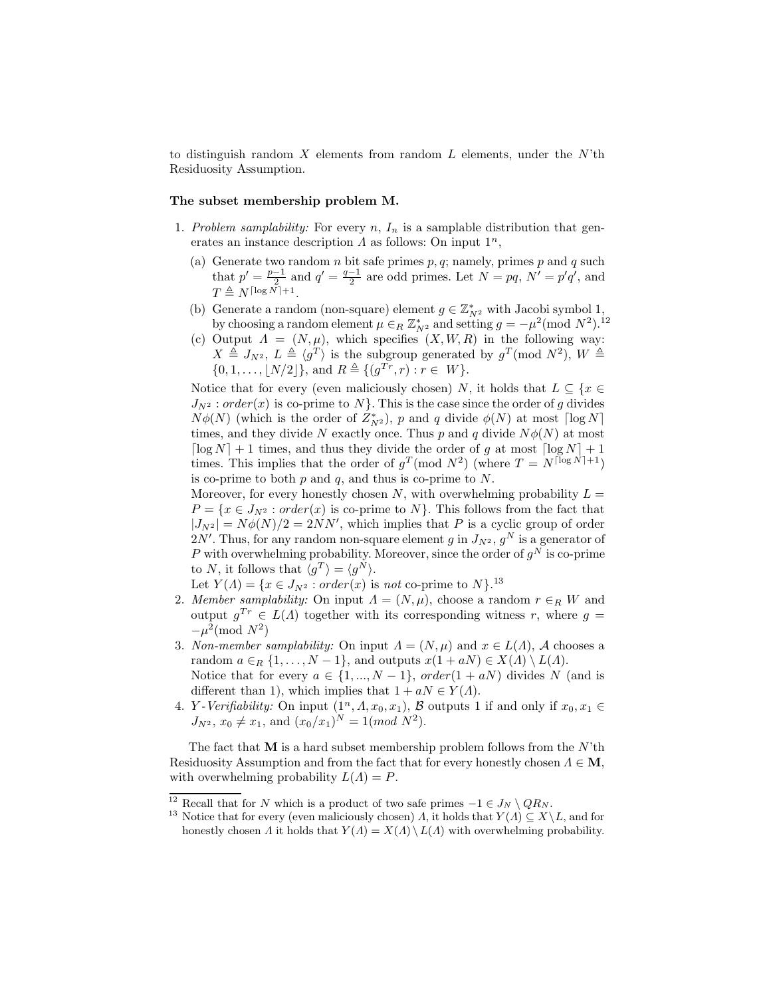to distinguish random X elements from random  $L$  elements, under the  $N'$ th Residuosity Assumption.

## The subset membership problem M.

- 1. Problem samplability: For every  $n, I_n$  is a samplable distribution that generates an instance description  $\Lambda$  as follows: On input  $1^n$ ,
	- (a) Generate two random  $n$  bit safe primes  $p, q$ ; namely, primes  $p$  and  $q$  such that  $p' = \frac{p-1}{2}$  and  $q' = \frac{q-1}{2}$  are odd primes. Let  $N = pq$ ,  $N' = p'q'$ , and  $T \triangleq N^{\lceil \log N \rceil + 1}.$
	- (b) Generate a random (non-square) element  $g \in \mathbb{Z}_{N^2}^*$  with Jacobi symbol 1, by choosing a random element  $\mu \in_R \mathbb{Z}_{N^2}^*$  and setting  $g = -\mu^2 \pmod{N^2}$ .<sup>12</sup>
	- (c) Output  $\Lambda = (N, \mu)$ , which specifies  $(X, W, R)$  in the following way:  $X \triangleq J_{N^2}$ ,  $L \triangleq \langle g^T \rangle$  is the subgroup generated by  $g^T \pmod{N^2}$ ,  $W \triangleq$  $\{0, 1, \ldots, \lfloor N/2 \rfloor\}, \text{ and } R \triangleq \{(g^{Tr}, r) : r \in W\}.$

Notice that for every (even maliciously chosen) N, it holds that  $L \subseteq \{x \in$  $J_{N^2}$ : order(x) is co-prime to N. This is the case since the order of g divides  $N\phi(N)$  (which is the order of  $Z_{N^2}^*$ ), p and q divide  $\phi(N)$  at most  $\lceil \log N \rceil$ times, and they divide N exactly once. Thus p and q divide  $N\phi(N)$  at most  $\lceil \log N \rceil + 1$  times, and thus they divide the order of g at most  $\lceil \log N \rceil + 1$ times. This implies that the order of  $g^T$ (mod  $N^2$ ) (where  $T = N^{\lceil \log N \rceil + 1}$ ) is co-prime to both  $p$  and  $q$ , and thus is co-prime to  $N$ .

Moreover, for every honestly chosen N, with overwhelming probability  $L =$  $P = \{x \in J_{N^2} : order(x) \text{ is co-prime to } N\}.$  This follows from the fact that  $|J_{N^2}| = N\phi(N)/2 = 2NN'$ , which implies that P is a cyclic group of order  $2N'$ . Thus, for any random non-square element g in  $J_{N^2}, g^N$  is a generator of P with overwhelming probability. Moreover, since the order of  $g^N$  is co-prime to N, it follows that  $\langle g^T \rangle = \langle g^N \rangle$ .

Let  $Y(\Lambda) = \{x \in J_{N^2} : order(x) \text{ is not co-prime to } N\}.$ <sup>13</sup>

- 2. Member samplability: On input  $\Lambda = (N, \mu)$ , choose a random  $r \in_R W$  and output  $g^{Tr} \in L(\Lambda)$  together with its corresponding witness r, where  $g =$  $-\mu^2 \pmod{N^2}$
- 3. Non-member samplability: On input  $\Lambda = (N, \mu)$  and  $x \in L(\Lambda)$ , A chooses a random  $a \in_R \{1, \ldots, N-1\}$ , and outputs  $x(1 + aN) \in X(\Lambda) \setminus L(\Lambda)$ . Notice that for every  $a \in \{1, ..., N-1\}$ ,  $order(1 + aN)$  divides N (and is different than 1), which implies that  $1 + aN \in Y(\Lambda)$ .
- 4. *Y Verifiability:* On input  $(1^n, A, x_0, x_1)$ , B outputs 1 if and only if  $x_0, x_1 \in$  $J_{N^2}$ ,  $x_0 \neq x_1$ , and  $(x_0/x_1)^N = 1 \pmod{N^2}$ .

The fact that  $M$  is a hard subset membership problem follows from the  $N'$ th Residuosity Assumption and from the fact that for every honestly chosen  $\Lambda \in \mathbf{M}$ , with overwhelming probability  $L(\Lambda) = P$ .

<sup>&</sup>lt;sup>12</sup> Recall that for N which is a product of two safe primes  $-1 \in J_N \setminus QR_N$ .

<sup>&</sup>lt;sup>13</sup> Notice that for every (even maliciously chosen)  $\Lambda$ , it holds that  $Y(\Lambda) \subseteq X \backslash L$ , and for honestly chosen  $\Lambda$  it holds that  $Y(\Lambda) = X(\Lambda) \setminus L(\Lambda)$  with overwhelming probability.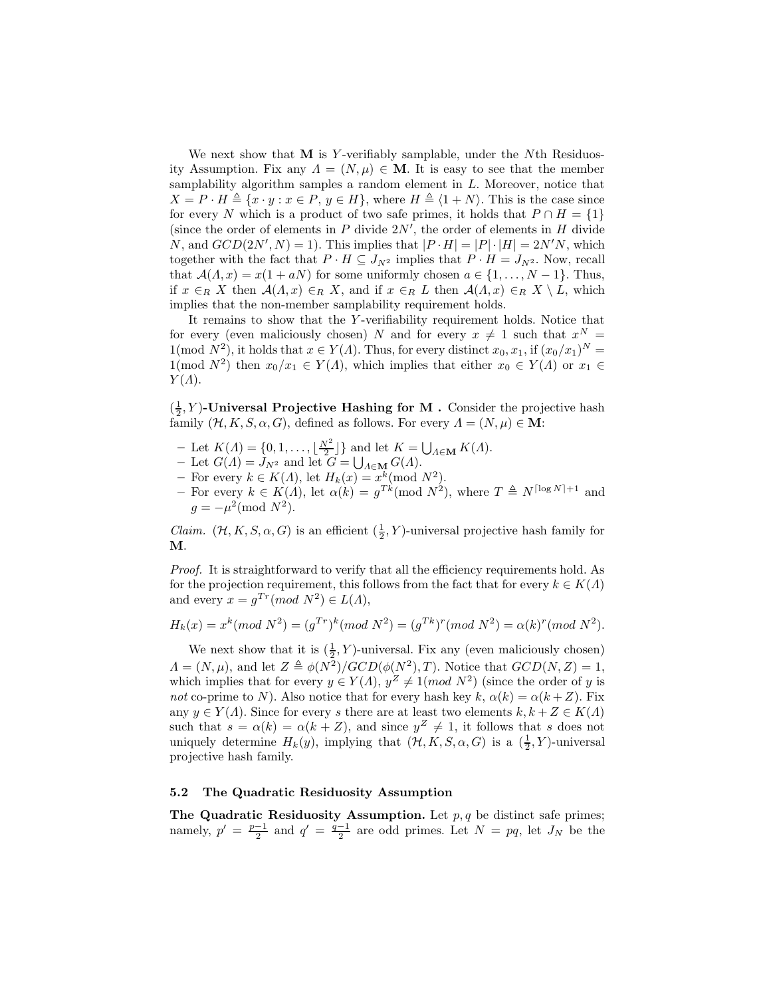We next show that  $M$  is Y-verifiably samplable, under the Nth Residuosity Assumption. Fix any  $\Lambda = (N, \mu) \in \mathbf{M}$ . It is easy to see that the member samplability algorithm samples a random element in L. Moreover, notice that  $X = P \cdot H \triangleq \{x \cdot y : x \in P, y \in H\}$ , where  $H \triangleq \langle 1 + N \rangle$ . This is the case since for every N which is a product of two safe primes, it holds that  $P \cap H = \{1\}$ (since the order of elements in  $P$  divide  $2N'$ , the order of elements in  $H$  divide N, and  $GCD(2N', N) = 1$ . This implies that  $|P \cdot H| = |P| \cdot |H| = 2N'N$ , which together with the fact that  $P \cdot H \subseteq J_{N^2}$  implies that  $P \cdot H = J_{N^2}$ . Now, recall that  $\mathcal{A}(\Lambda, x) = x(1 + aN)$  for some uniformly chosen  $a \in \{1, ..., N-1\}$ . Thus, if  $x \in_R X$  then  $\mathcal{A}(\Lambda, x) \in_R X$ , and if  $x \in_R L$  then  $\mathcal{A}(\Lambda, x) \in_R X \setminus L$ , which implies that the non-member samplability requirement holds.

It remains to show that the Y-verifiability requirement holds. Notice that for every (even maliciously chosen) N and for every  $x \neq 1$  such that  $x^N =$ 1(mod  $N^2$ ), it holds that  $x \in Y(\Lambda)$ . Thus, for every distinct  $x_0, x_1$ , if  $(x_0/x_1)^N =$  $1(\text{mod }N^2)$  then  $x_0/x_1 \in Y(\Lambda)$ , which implies that either  $x_0 \in Y(\Lambda)$  or  $x_1 \in$  $Y(\Lambda)$ .

 $(\frac{1}{2}, Y)$ -Universal Projective Hashing for M. Consider the projective hash family  $(\mathcal{H}, K, S, \alpha, G)$ , defined as follows. For every  $\Lambda = (N, \mu) \in \mathbf{M}$ :

- Let  $K(\Lambda) = \{0, 1, \ldots, \lfloor \frac{N^2}{2} \rfloor\}$  and let  $K = \bigcup_{\Lambda \in \mathbf{M}} K(\Lambda)$ .
- Let  $G(\Lambda) = J_{N^2}$  and let  $G = \bigcup_{\Lambda \in \mathbf{M}} G(\Lambda)$ .
- For every  $k \in K(\Lambda)$ , let  $H_k(x) = x^k \pmod{N^2}$ .
- For every  $k \in K(A)$ , let  $\alpha(k) = g^{Tk} \pmod{N^2}$ , where  $T \triangleq N^{\lceil \log N \rceil + 1}$  and  $g = -\mu^2 \pmod{N^2}.$

*Claim.*  $(\mathcal{H}, K, S, \alpha, G)$  is an efficient  $(\frac{1}{2}, Y)$ -universal projective hash family for M.

Proof. It is straightforward to verify that all the efficiency requirements hold. As for the projection requirement, this follows from the fact that for every  $k \in K(\Lambda)$ and every  $x = g^{Tr}(mod N^2) \in L(A)$ ,

$$
H_k(x) = x^k (mod N^2) = (g^{Tr})^k (mod N^2) = (g^{Tr})^r (mod N^2) = \alpha(k)^r (mod N^2).
$$

We next show that it is  $(\frac{1}{2}, Y)$ -universal. Fix any (even maliciously chosen)  $\Lambda = (N, \mu)$ , and let  $Z \triangleq \phi(N^2)/GCD(\phi(N^2), T)$ . Notice that  $GCD(N, Z) = 1$ , which implies that for every  $y \in Y(\Lambda)$ ,  $y^Z \neq 1(mod N^2)$  (since the order of y is not co-prime to N). Also notice that for every hash key k,  $\alpha(k) = \alpha(k+Z)$ . Fix any  $y \in Y(\Lambda)$ . Since for every s there are at least two elements  $k, k + Z \in K(\Lambda)$ such that  $s = \alpha(k) = \alpha(k+Z)$ , and since  $y^Z \neq 1$ , it follows that s does not uniquely determine  $H_k(y)$ , implying that  $(\mathcal{H}, K, S, \alpha, G)$  is a  $(\frac{1}{2}, Y)$ -universal projective hash family.

#### 5.2 The Quadratic Residuosity Assumption

The Quadratic Residuosity Assumption. Let  $p, q$  be distinct safe primes; namely,  $p' = \frac{p-1}{2}$  and  $q' = \frac{q-1}{2}$  are odd primes. Let  $N = pq$ , let  $J_N$  be the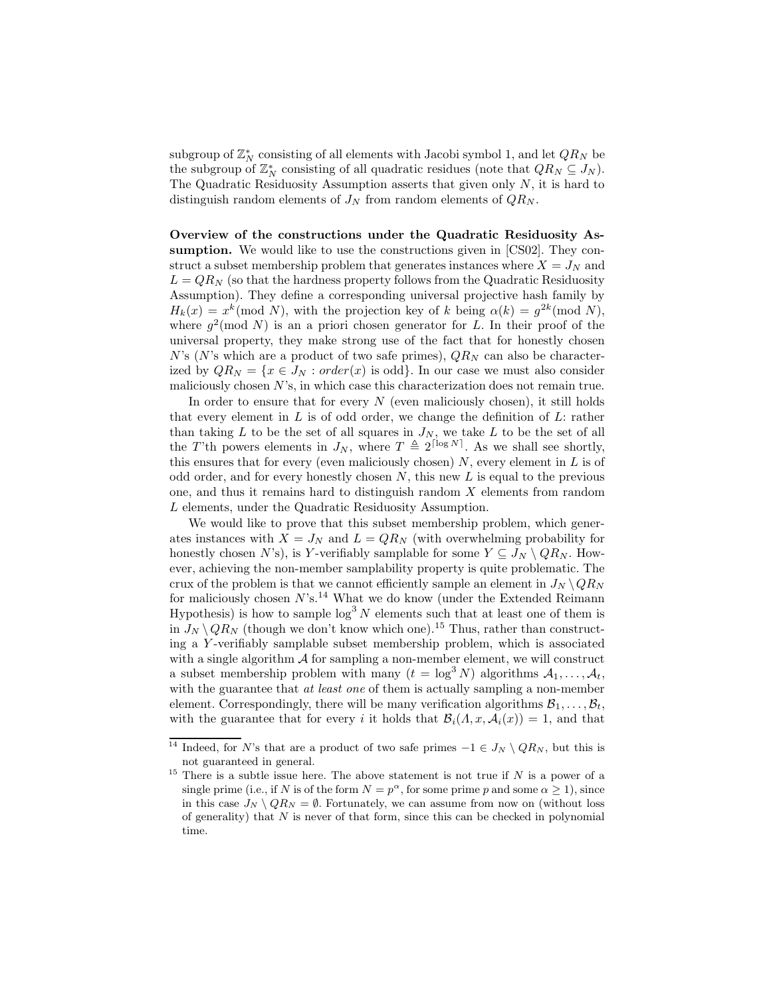subgroup of  $\mathbb{Z}_N^*$  consisting of all elements with Jacobi symbol 1, and let  $QR_N$  be the subgroup of  $\mathbb{Z}_N^*$  consisting of all quadratic residues (note that  $QR_N \subseteq J_N$ ). The Quadratic Residuosity Assumption asserts that given only  $N$ , it is hard to distinguish random elements of  $J_N$  from random elements of  $QR_N$ .

Overview of the constructions under the Quadratic Residuosity Assumption. We would like to use the constructions given in [CS02]. They construct a subset membership problem that generates instances where  $X = J_N$  and  $L = QR_N$  (so that the hardness property follows from the Quadratic Residuosity Assumption). They define a corresponding universal projective hash family by  $H_k(x) = x^k \pmod{N}$ , with the projection key of k being  $\alpha(k) = g^{2k} \pmod{N}$ , where  $g^2 \pmod{N}$  is an a priori chosen generator for L. In their proof of the universal property, they make strong use of the fact that for honestly chosen N's (N's which are a product of two safe primes),  $QR_N$  can also be characterized by  $QR_N = \{x \in J_N : order(x) \text{ is odd}\}\.$  In our case we must also consider maliciously chosen  $N$ 's, in which case this characterization does not remain true.

In order to ensure that for every  $N$  (even maliciously chosen), it still holds that every element in  $L$  is of odd order, we change the definition of  $L$ : rather than taking  $L$  to be the set of all squares in  $J_N$ , we take  $L$  to be the set of all the T'th powers elements in  $J_N$ , where  $T \triangleq 2^{\lceil \log N \rceil}$ . As we shall see shortly, this ensures that for every (even maliciously chosen)  $N$ , every element in  $L$  is of odd order, and for every honestly chosen  $N$ , this new  $L$  is equal to the previous one, and thus it remains hard to distinguish random  $X$  elements from random L elements, under the Quadratic Residuosity Assumption.

We would like to prove that this subset membership problem, which generates instances with  $X = J_N$  and  $L = QR_N$  (with overwhelming probability for honestly chosen N's), is Y-verifiably samplable for some  $Y \subseteq J_N \setminus QR_N$ . However, achieving the non-member samplability property is quite problematic. The crux of the problem is that we cannot efficiently sample an element in  $J_N \setminus QR_N$ for maliciously chosen  $N$ 's.<sup>14</sup> What we do know (under the Extended Reimann Hypothesis) is how to sample  $\log^3 N$  elements such that at least one of them is in  $J_N \setminus QR_N$  (though we don't know which one).<sup>15</sup> Thus, rather than constructing a Y -verifiably samplable subset membership problem, which is associated with a single algorithm  $A$  for sampling a non-member element, we will construct a subset membership problem with many  $(t = \log^3 N)$  algorithms  $\mathcal{A}_1, \ldots, \mathcal{A}_t$ , with the guarantee that *at least one* of them is actually sampling a non-member element. Correspondingly, there will be many verification algorithms  $\mathcal{B}_1, \ldots, \mathcal{B}_t$ , with the guarantee that for every i it holds that  $\mathcal{B}_i(\Lambda, x, \mathcal{A}_i(x)) = 1$ , and that

<sup>&</sup>lt;sup>14</sup> Indeed, for N's that are a product of two safe primes  $-1 \in J_N \setminus QR_N$ , but this is not guaranteed in general.

<sup>&</sup>lt;sup>15</sup> There is a subtle issue here. The above statement is not true if  $N$  is a power of a single prime (i.e., if N is of the form  $N = p^{\alpha}$ , for some prime p and some  $\alpha \geq 1$ ), since in this case  $J_N \setminus QR_N = \emptyset$ . Fortunately, we can assume from now on (without loss of generality) that  $N$  is never of that form, since this can be checked in polynomial time.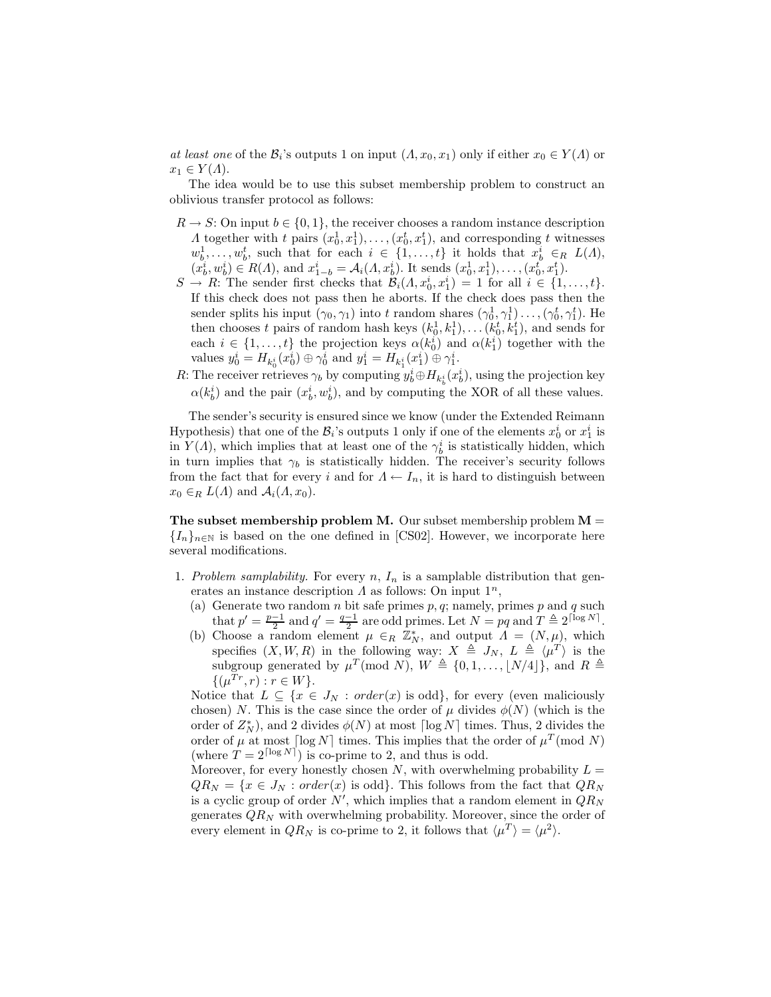*at least one* of the  $\mathcal{B}_i$ 's outputs 1 on input  $(\Lambda, x_0, x_1)$  only if either  $x_0 \in Y(\Lambda)$  or  $x_1 \in Y(\Lambda)$ .

The idea would be to use this subset membership problem to construct an oblivious transfer protocol as follows:

- $R \to S$ : On input  $b \in \{0, 1\}$ , the receiver chooses a random instance description  $\Lambda$  together with t pairs  $(x_0^1, x_1^1), \ldots, (x_0^t, x_1^t)$ , and corresponding t witnesses  $w_b^1, \ldots, w_b^t$ , such that for each  $i \in \{1, \ldots, t\}$  it holds that  $x_b^i \in R$   $L(A)$ ,  $(x_b^i, w_b^i) \in R(\Lambda)$ , and  $x_{1-b}^i = A_i(\Lambda, x_b^i)$ . It sends  $(x_0^1, x_1^1), \ldots, (x_0^t, x_1^t)$ .
- $S \to R$ : The sender first checks that  $\mathcal{B}_i(A, x_0^i, x_1^i) = 1$  for all  $i \in \{1, ..., t\}$ . If this check does not pass then he aborts. If the check does pass then the sender splits his input  $(\gamma_0, \gamma_1)$  into t random shares  $(\gamma_0^1, \gamma_1^1) \dots, (\gamma_0^t, \gamma_1^t)$ . He then chooses t pairs of random hash keys  $(k_0^1, k_1^1), \ldots (k_0^t, k_1^t)$ , and sends for each  $i \in \{1, ..., t\}$  the projection keys  $\alpha(k_0^i)$  and  $\alpha(k_1^i)$  together with the values  $y_0^i = H_{k_0^i}(x_0^i) \oplus \gamma_0^i$  and  $y_1^i = H_{k_1^i}(x_1^i) \oplus \gamma_1^i$ .
- R: The receiver retrieves  $\gamma_b$  by computing  $y_b^i \oplus H_{k_b^i}(x_b^i)$ , using the projection key  $\alpha(k_b^i)$  and the pair  $(x_b^i, w_b^i)$ , and by computing the XOR of all these values.

The sender's security is ensured since we know (under the Extended Reimann Hypothesis) that one of the  $\mathcal{B}_i$ 's outputs 1 only if one of the elements  $x_0^i$  or  $x_1^i$  is in  $Y(\Lambda)$ , which implies that at least one of the  $\gamma_b^i$  is statistically hidden, which in turn implies that  $\gamma_b$  is statistically hidden. The receiver's security follows from the fact that for every i and for  $\Lambda \leftarrow I_n$ , it is hard to distinguish between  $x_0 \in_R L(\Lambda)$  and  $\mathcal{A}_i(\Lambda, x_0)$ .

**The subset membership problem M.** Our subset membership problem  $M =$  ${I_n}_{n\in\mathbb{N}}$  is based on the one defined in [CS02]. However, we incorporate here several modifications.

- 1. Problem samplability. For every n,  $I_n$  is a samplable distribution that generates an instance description  $\Lambda$  as follows: On input  $1^n$ ,
	- (a) Generate two random  $n$  bit safe primes  $p, q$ ; namely, primes  $p$  and  $q$  such that  $p' = \frac{p-1}{2}$  and  $q' = \frac{q-1}{2}$  are odd primes. Let  $N = pq$  and  $T \triangleq 2^{\lceil \log N \rceil}$ .
	- (b) Choose a random element  $\mu \in_R \mathbb{Z}_N^*$ , and output  $\Lambda = (N, \mu)$ , which specifies  $(X, W, R)$  in the following way:  $X \triangleq J_N$ ,  $L \triangleq \langle \mu^T \rangle$  is the subgroup generated by  $\mu^T \pmod{N}$ ,  $W \triangleq \{0, 1, ..., \lfloor N/4 \rfloor\}$ , and  $R \triangleq$  $\{(\mu^{Tr}, r) : r \in W\}.$

Notice that  $L \subseteq \{x \in J_N : order(x) \text{ is odd}\},\$ for every (even maliciously chosen) N. This is the case since the order of  $\mu$  divides  $\phi(N)$  (which is the order of  $Z_N^*$ ), and 2 divides  $\phi(N)$  at most  $\lceil \log N \rceil$  times. Thus, 2 divides the order of  $\mu$  at most  $\lceil \log N \rceil$  times. This implies that the order of  $\mu^T \pmod{N}$ (where  $T = 2^{\lceil \log N \rceil}$ ) is co-prime to 2, and thus is odd.

Moreover, for every honestly chosen N, with overwhelming probability  $L =$  $QR_N = \{x \in J_N : order(x) \text{ is odd}\}.$  This follows from the fact that  $QR_N$ is a cyclic group of order  $N'$ , which implies that a random element in  $QR_N$ generates  $QR_N$  with overwhelming probability. Moreover, since the order of every element in  $QR_N$  is co-prime to 2, it follows that  $\langle \mu^T \rangle = \langle \mu^2 \rangle$ .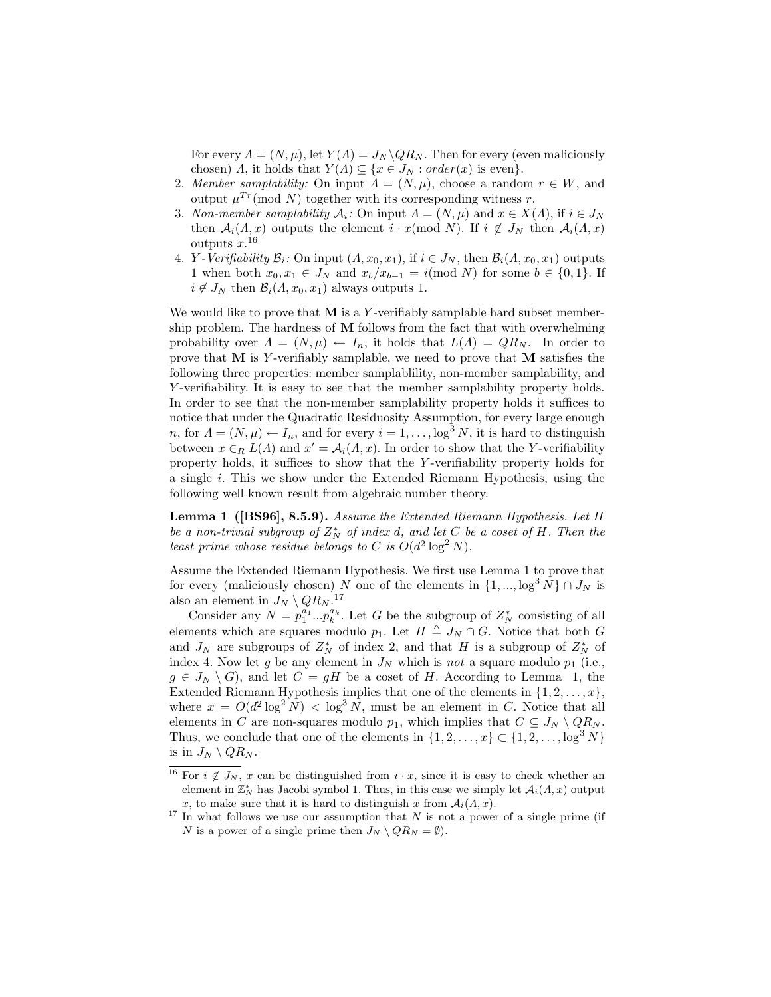For every  $\Lambda = (N, \mu)$ , let  $Y(\Lambda) = J_N \backslash QR_N$ . Then for every (even maliciously chosen) *Λ*, it holds that  $Y(\Lambda) \subseteq \{x \in J_N : order(x) \text{ is even}\}.$ 

- 2. Member samplability: On input  $\Lambda = (N, \mu)$ , choose a random  $r \in W$ , and output  $\mu^{Tr}(\text{mod } N)$  together with its corresponding witness r.
- 3. Non-member samplability  $A_i$ : On input  $\Lambda = (N, \mu)$  and  $x \in X(\Lambda)$ , if  $i \in J_N$ then  $A_i(\Lambda, x)$  outputs the element  $i \cdot x \pmod{N}$ . If  $i \notin J_N$  then  $A_i(\Lambda, x)$ outputs  $x.^{16}$
- 4. *Y Verifiability*  $\mathcal{B}_i$ : On input  $(A, x_0, x_1)$ , if  $i \in J_N$ , then  $\mathcal{B}_i(A, x_0, x_1)$  outputs 1 when both  $x_0, x_1 \in J_N$  and  $x_b/x_{b-1} = i \pmod{N}$  for some  $b \in \{0, 1\}$ . If  $i \notin J_N$  then  $\mathcal{B}_i(\Lambda, x_0, x_1)$  always outputs 1.

We would like to prove that  $M$  is a Y-verifiably samplable hard subset membership problem. The hardness of  **follows from the fact that with overwhelming** probability over  $\Lambda = (N, \mu) \leftarrow I_n$ , it holds that  $L(\Lambda) = QR_N$ . In order to prove that  $M$  is Y-verifiably samplable, we need to prove that  $M$  satisfies the following three properties: member samplablility, non-member samplability, and Y-verifiability. It is easy to see that the member samplability property holds. In order to see that the non-member samplability property holds it suffices to notice that under the Quadratic Residuosity Assumption, for every large enough n, for  $\Lambda = (N, \mu) \leftarrow I_n$ , and for every  $i = 1, \ldots, \log^3 N$ , it is hard to distinguish between  $x \in_R L(\Lambda)$  and  $x' = \mathcal{A}_i(\Lambda, x)$ . In order to show that the Y-verifiability property holds, it suffices to show that the Y -verifiability property holds for a single i. This we show under the Extended Riemann Hypothesis, using the following well known result from algebraic number theory.

Lemma 1 ([BS96], 8.5.9). Assume the Extended Riemann Hypothesis. Let H be a non-trivial subgroup of  $Z_N^*$  of index d, and let C be a coset of H. Then the least prime whose residue belongs to C is  $O(d^2 \log^2 N)$ .

Assume the Extended Riemann Hypothesis. We first use Lemma 1 to prove that for every (maliciously chosen) N one of the elements in  $\{1, ..., \log^3 N\} \cap J_N$  is also an element in  $J_N \setminus QR_N$ .<sup>17</sup>

Consider any  $N = p_1^{a_1} ... p_k^{a_k}$ . Let G be the subgroup of  $Z_N^*$  consisting of all elements which are squares modulo  $p_1$ . Let  $H \triangleq J_N \cap G$ . Notice that both G and  $J_N$  are subgroups of  $Z_N^*$  of index 2, and that H is a subgroup of  $Z_N^*$  of index 4. Now let g be any element in  $J_N$  which is not a square modulo  $p_1$  (i.e.,  $g \in J_N \setminus G$ , and let  $C = gH$  be a coset of H. According to Lemma 1, the Extended Riemann Hypothesis implies that one of the elements in  $\{1, 2, \ldots, x\}$ , where  $x = O(d^2 \log^2 N) < \log^3 N$ , must be an element in C. Notice that all elements in C are non-squares modulo  $p_1$ , which implies that  $C \subseteq J_N \setminus QR_N$ . Thus, we conclude that one of the elements in  $\{1, 2, \ldots, x\} \subset \{1, 2, \ldots, \log^3 N\}$ is in  $J_N \setminus QR_N$ .

<sup>&</sup>lt;sup>16</sup> For  $i \notin J_N$ , x can be distinguished from  $i \cdot x$ , since it is easy to check whether an element in  $\mathbb{Z}_N^*$  has Jacobi symbol 1. Thus, in this case we simply let  $\mathcal{A}_i(\Lambda, x)$  output x, to make sure that it is hard to distinguish x from  $A_i(A, x)$ .

 $17$  In what follows we use our assumption that N is not a power of a single prime (if N is a power of a single prime then  $J_N \setminus QR_N = \emptyset$ .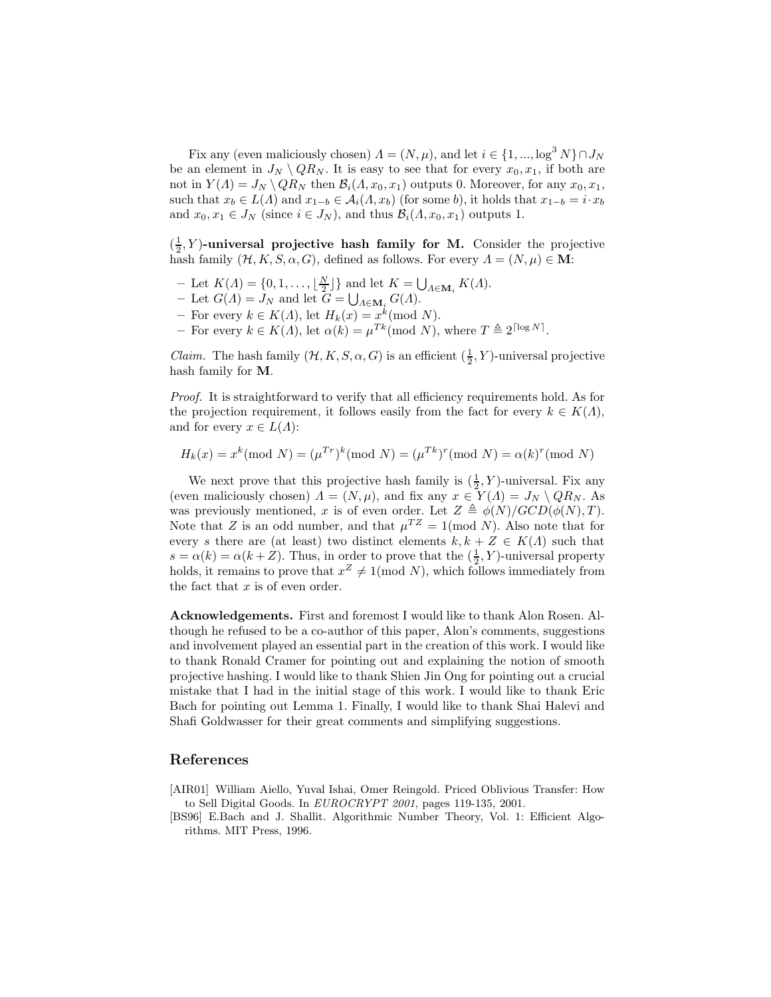Fix any (even maliciously chosen)  $\Lambda = (N, \mu)$ , and let  $i \in \{1, ..., \log^3 N\} \cap J_N$ be an element in  $J_N \setminus QR_N$ . It is easy to see that for every  $x_0, x_1$ , if both are not in  $Y(A) = J_N \setminus QR_N$  then  $\mathcal{B}_i(A, x_0, x_1)$  outputs 0. Moreover, for any  $x_0, x_1$ , such that  $x_b \in L(\Lambda)$  and  $x_{1-b} \in A_i(\Lambda, x_b)$  (for some b), it holds that  $x_{1-b} = i \cdot x_b$ and  $x_0, x_1 \in J_N$  (since  $i \in J_N$ ), and thus  $\mathcal{B}_i(\Lambda, x_0, x_1)$  outputs 1.

 $(\frac{1}{2}, Y)$ -universal projective hash family for M. Consider the projective hash family  $(\mathcal{H}, K, S, \alpha, G)$ , defined as follows. For every  $\Lambda = (N, \mu) \in \mathbf{M}$ :

- Let  $K(\Lambda) = \{0, 1, \ldots, \lfloor \frac{N}{2} \rfloor\}$  and let  $K = \bigcup_{\Lambda \in \mathbf{M}_i} K(\Lambda)$ .
- Let  $G(\Lambda) = J_N$  and let  $G = \bigcup_{\Lambda \in \mathbf{M}_i} G(\Lambda)$ .
- For every  $k \in K(\Lambda)$ , let  $H_k(x) = x^k \pmod{N}$ .
- For every  $k \in K(\Lambda)$ , let  $\alpha(k) = \mu^{Tk} \pmod{N}$ , where  $T \triangleq 2^{\lceil \log N \rceil}$ .

*Claim.* The hash family  $(\mathcal{H}, K, S, \alpha, G)$  is an efficient  $(\frac{1}{2}, Y)$ -universal projective hash family for M.

Proof. It is straightforward to verify that all efficiency requirements hold. As for the projection requirement, it follows easily from the fact for every  $k \in K(\Lambda)$ , and for every  $x \in L(\Lambda)$ :

$$
H_k(x) = x^k \pmod{N} = (\mu^{Tr})^k \pmod{N} = (\mu^{Tk})^r \pmod{N} = \alpha(k)^r \pmod{N}
$$

We next prove that this projective hash family is  $(\frac{1}{2}, Y)$ -universal. Fix any (even maliciously chosen)  $\Lambda = (N, \mu)$ , and fix any  $x \in Y(\Lambda) = J_N \setminus QR_N$ . As was previously mentioned, x is of even order. Let  $Z \triangleq \phi(N)/GCD(\phi(N), T)$ . Note that Z is an odd number, and that  $\mu^{TZ} = 1 \pmod{N}$ . Also note that for every s there are (at least) two distinct elements  $k, k + Z \in K(\Lambda)$  such that  $s = \alpha(k) = \alpha(k+Z)$ . Thus, in order to prove that the  $(\frac{1}{2}, Y)$ -universal property  $\omega = \alpha(w) = \alpha(w + 2)$ . Thus, in order to prove that the  $\binom{2}{2}$ ,  $\ell$ -differently property holds, it remains to prove that  $x^2 \neq 1 \pmod{N}$ , which follows immediately from the fact that  $x$  is of even order.

Acknowledgements. First and foremost I would like to thank Alon Rosen. Although he refused to be a co-author of this paper, Alon's comments, suggestions and involvement played an essential part in the creation of this work. I would like to thank Ronald Cramer for pointing out and explaining the notion of smooth projective hashing. I would like to thank Shien Jin Ong for pointing out a crucial mistake that I had in the initial stage of this work. I would like to thank Eric Bach for pointing out Lemma 1. Finally, I would like to thank Shai Halevi and Shafi Goldwasser for their great comments and simplifying suggestions.

#### References

- [AIR01] William Aiello, Yuval Ishai, Omer Reingold. Priced Oblivious Transfer: How to Sell Digital Goods. In EUROCRYPT 2001, pages 119-135, 2001.
- [BS96] E.Bach and J. Shallit. Algorithmic Number Theory, Vol. 1: Efficient Algorithms. MIT Press, 1996.